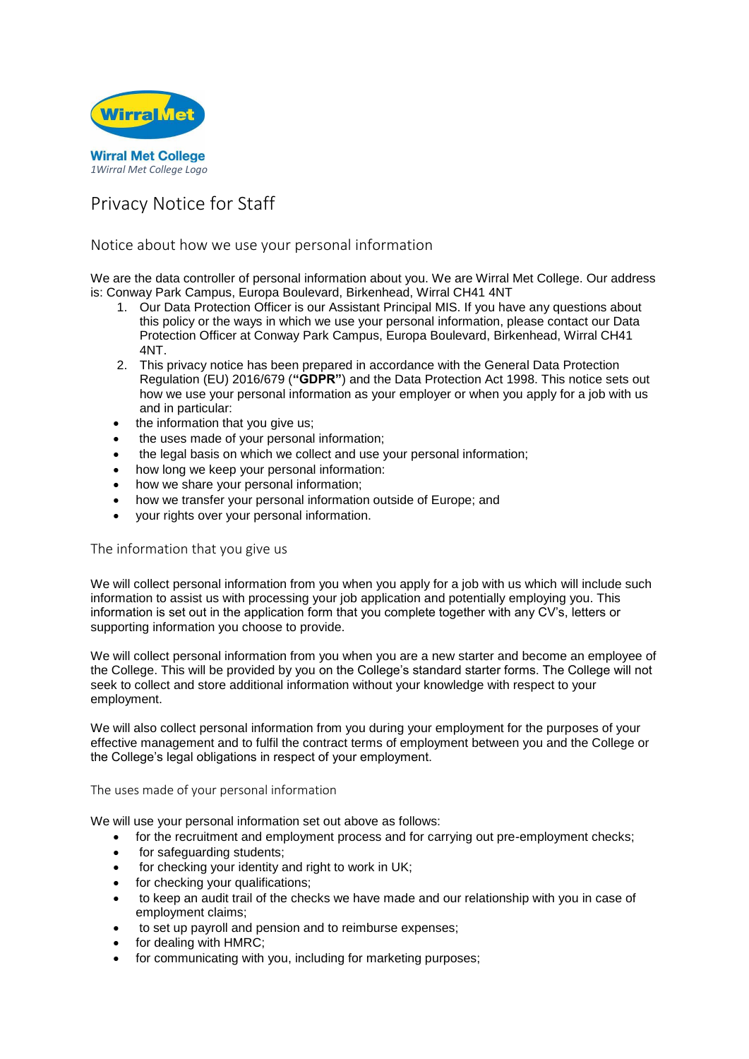

# Privacy Notice for Staff

# Notice about how we use your personal information

We are the data controller of personal information about you. We are Wirral Met College. Our address is: Conway Park Campus, Europa Boulevard, Birkenhead, Wirral CH41 4NT

- 1. Our Data Protection Officer is our Assistant Principal MIS. If you have any questions about this policy or the ways in which we use your personal information, please contact our Data Protection Officer at Conway Park Campus, Europa Boulevard, Birkenhead, Wirral CH41 4NT.
- 2. This privacy notice has been prepared in accordance with the General Data Protection Regulation (EU) 2016/679 (**"GDPR"**) and the Data Protection Act 1998. This notice sets out how we use your personal information as your employer or when you apply for a job with us and in particular:
- the information that you give us;
- the uses made of your personal information;
- the legal basis on which we collect and use your personal information;
- how long we keep your personal information:
- how we share your personal information;
- how we transfer your personal information outside of Europe; and
- your rights over your personal information.

### The information that you give us

We will collect personal information from you when you apply for a job with us which will include such information to assist us with processing your job application and potentially employing you. This information is set out in the application form that you complete together with any CV's, letters or supporting information you choose to provide.

We will collect personal information from you when you are a new starter and become an employee of the College. This will be provided by you on the College's standard starter forms. The College will not seek to collect and store additional information without your knowledge with respect to your employment.

We will also collect personal information from you during your employment for the purposes of your effective management and to fulfil the contract terms of employment between you and the College or the College's legal obligations in respect of your employment.

### The uses made of your personal information

We will use your personal information set out above as follows:

- for the recruitment and employment process and for carrying out pre-employment checks;
- for safeguarding students;
- for checking your identity and right to work in UK;
- for checking your qualifications;
- to keep an audit trail of the checks we have made and our relationship with you in case of employment claims;
- to set up payroll and pension and to reimburse expenses;
- for dealing with HMRC;
- for communicating with you, including for marketing purposes;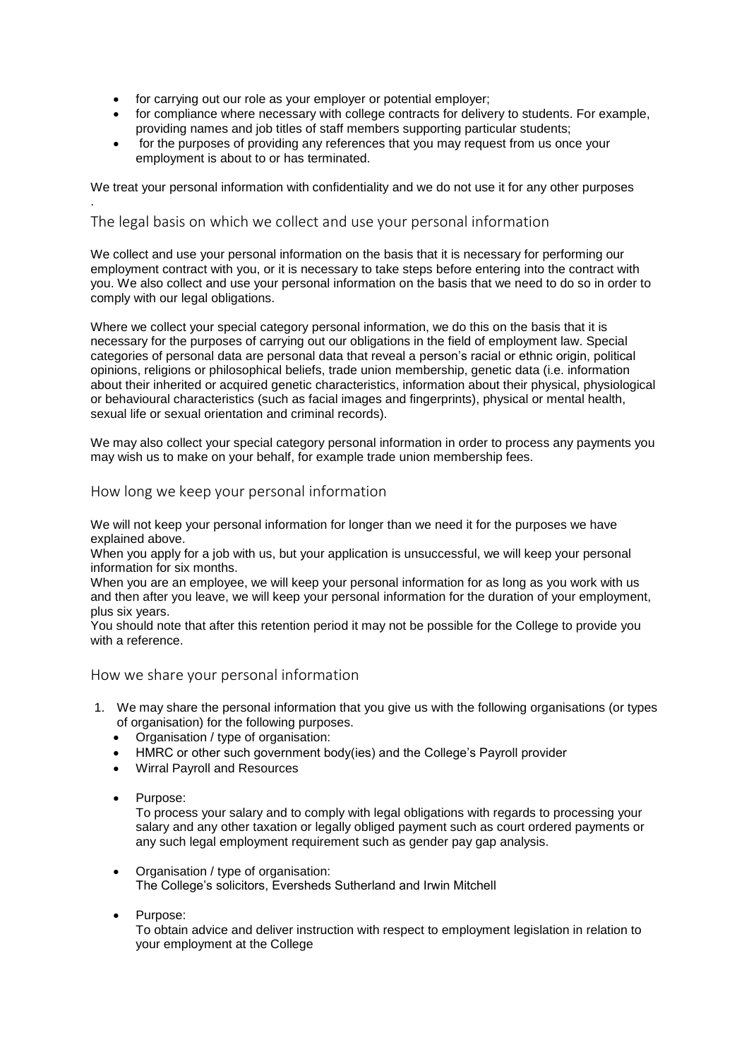- for carrying out our role as your employer or potential employer;
- for compliance where necessary with college contracts for delivery to students. For example, providing names and job titles of staff members supporting particular students;
- for the purposes of providing any references that you may request from us once your employment is about to or has terminated.

We treat your personal information with confidentiality and we do not use it for any other purposes

# The legal basis on which we collect and use your personal information

We collect and use your personal information on the basis that it is necessary for performing our employment contract with you, or it is necessary to take steps before entering into the contract with you. We also collect and use your personal information on the basis that we need to do so in order to comply with our legal obligations.

Where we collect your special category personal information, we do this on the basis that it is necessary for the purposes of carrying out our obligations in the field of employment law. Special categories of personal data are personal data that reveal a person's racial or ethnic origin, political opinions, religions or philosophical beliefs, trade union membership, genetic data (i.e. information about their inherited or acquired genetic characteristics, information about their physical, physiological or behavioural characteristics (such as facial images and fingerprints), physical or mental health, sexual life or sexual orientation and criminal records).

We may also collect your special category personal information in order to process any payments you may wish us to make on your behalf, for example trade union membership fees.

# How long we keep your personal information

We will not keep your personal information for longer than we need it for the purposes we have explained above.

When you apply for a job with us, but your application is unsuccessful, we will keep your personal information for six months.

When you are an employee, we will keep your personal information for as long as you work with us and then after you leave, we will keep your personal information for the duration of your employment, plus six years.

You should note that after this retention period it may not be possible for the College to provide you with a reference.

## How we share your personal information

- 1. We may share the personal information that you give us with the following organisations (or types of organisation) for the following purposes.
	- Organisation / type of organisation:
	- HMRC or other such government body(ies) and the College's Payroll provider
	- Wirral Payroll and Resources
	- Purpose:

.

To process your salary and to comply with legal obligations with regards to processing your salary and any other taxation or legally obliged payment such as court ordered payments or any such legal employment requirement such as gender pay gap analysis.

- Organisation / type of organisation: The College's solicitors, Eversheds Sutherland and Irwin Mitchell
- Purpose:

To obtain advice and deliver instruction with respect to employment legislation in relation to your employment at the College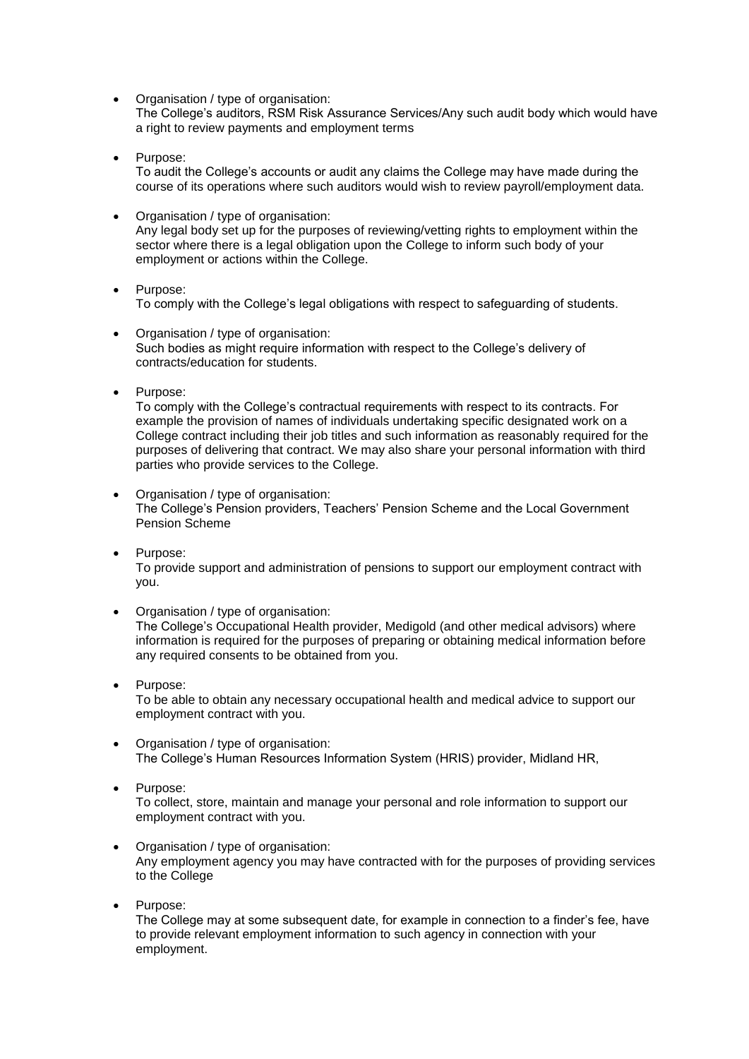- Organisation / type of organisation: The College's auditors, RSM Risk Assurance Services/Any such audit body which would have a right to review payments and employment terms
- Purpose: To audit the College's accounts or audit any claims the College may have made during the course of its operations where such auditors would wish to review payroll/employment data.
- Organisation / type of organisation: Any legal body set up for the purposes of reviewing/vetting rights to employment within the sector where there is a legal obligation upon the College to inform such body of your employment or actions within the College.
- Purpose: To comply with the College's legal obligations with respect to safeguarding of students.
- Organisation / type of organisation: Such bodies as might require information with respect to the College's delivery of contracts/education for students.
- Purpose:

To comply with the College's contractual requirements with respect to its contracts. For example the provision of names of individuals undertaking specific designated work on a College contract including their job titles and such information as reasonably required for the purposes of delivering that contract. We may also share your personal information with third parties who provide services to the College.

- Organisation / type of organisation: The College's Pension providers, Teachers' Pension Scheme and the Local Government Pension Scheme
- Purpose: To provide support and administration of pensions to support our employment contract with you.
- Organisation / type of organisation: The College's Occupational Health provider, Medigold (and other medical advisors) where information is required for the purposes of preparing or obtaining medical information before any required consents to be obtained from you.
- Purpose: To be able to obtain any necessary occupational health and medical advice to support our employment contract with you.
- Organisation / type of organisation: The College's Human Resources Information System (HRIS) provider, Midland HR,
- Purpose: To collect, store, maintain and manage your personal and role information to support our employment contract with you.
- Organisation / type of organisation: Any employment agency you may have contracted with for the purposes of providing services to the College
- Purpose:

The College may at some subsequent date, for example in connection to a finder's fee, have to provide relevant employment information to such agency in connection with your employment.